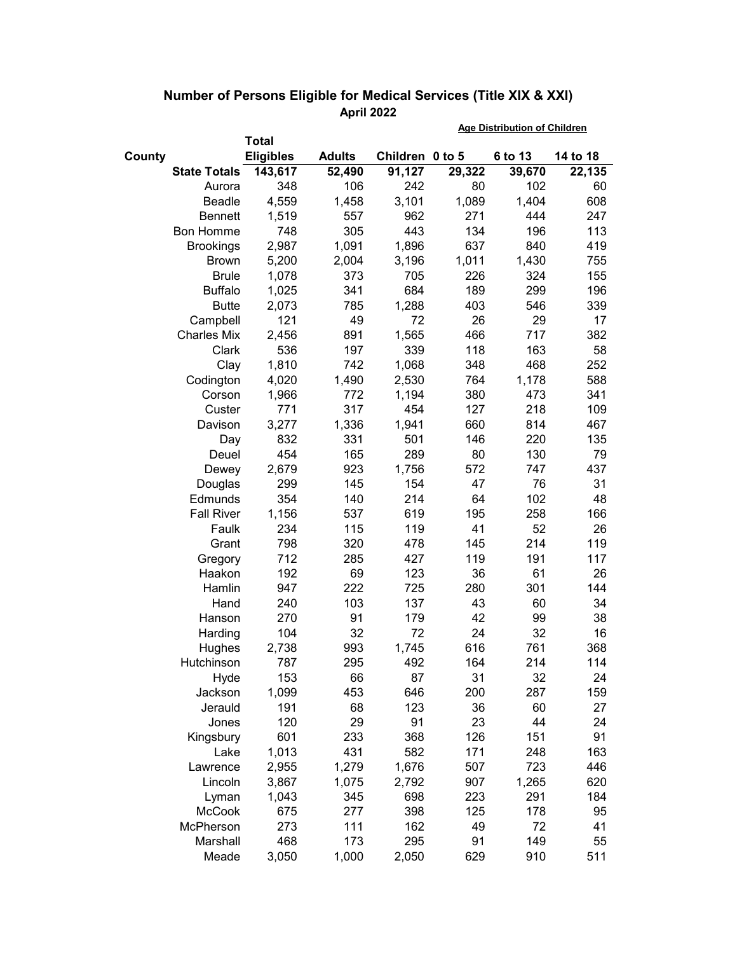|                     |                  |               | <b>Age Distribution of Children</b> |        |         |          |
|---------------------|------------------|---------------|-------------------------------------|--------|---------|----------|
|                     | <b>Total</b>     |               |                                     |        |         |          |
| County              | <b>Eligibles</b> | <b>Adults</b> | Children 0 to 5                     |        | 6 to 13 | 14 to 18 |
| <b>State Totals</b> | 143,617          | 52,490        | 91,127                              | 29,322 | 39,670  | 22,135   |
| Aurora              | 348              | 106           | 242                                 | 80     | 102     | 60       |
| Beadle              | 4,559            | 1,458         | 3,101                               | 1,089  | 1,404   | 608      |
| <b>Bennett</b>      | 1,519            | 557           | 962                                 | 271    | 444     | 247      |
| <b>Bon Homme</b>    | 748              | 305           | 443                                 | 134    | 196     | 113      |
| <b>Brookings</b>    | 2,987            | 1,091         | 1,896                               | 637    | 840     | 419      |
| <b>Brown</b>        | 5,200            | 2,004         | 3,196                               | 1,011  | 1,430   | 755      |
| <b>Brule</b>        | 1,078            | 373           | 705                                 | 226    | 324     | 155      |
| <b>Buffalo</b>      | 1,025            | 341           | 684                                 | 189    | 299     | 196      |
| <b>Butte</b>        | 2,073            | 785           | 1,288                               | 403    | 546     | 339      |
| Campbell            | 121              | 49            | 72                                  | 26     | 29      | 17       |
| <b>Charles Mix</b>  | 2,456            | 891           | 1,565                               | 466    | 717     | 382      |
| Clark               | 536              | 197           | 339                                 | 118    | 163     | 58       |
| Clay                | 1,810            | 742           | 1,068                               | 348    | 468     | 252      |
| Codington           | 4,020            | 1,490         | 2,530                               | 764    | 1,178   | 588      |
| Corson              | 1,966            | 772           | 1,194                               | 380    | 473     | 341      |
| Custer              | 771              | 317           | 454                                 | 127    | 218     | 109      |
| Davison             | 3,277            | 1,336         | 1,941                               | 660    | 814     | 467      |
| Day                 | 832              | 331           | 501                                 | 146    | 220     | 135      |
| Deuel               | 454              | 165           | 289                                 | 80     | 130     | 79       |
| Dewey               | 2,679            | 923           | 1,756                               | 572    | 747     | 437      |
| Douglas             | 299              | 145           | 154                                 | 47     | 76      | 31       |
| Edmunds             | 354              | 140           | 214                                 | 64     | 102     | 48       |
| <b>Fall River</b>   | 1,156            | 537           | 619                                 | 195    | 258     | 166      |
| Faulk               | 234              | 115           | 119                                 | 41     | 52      | 26       |
| Grant               | 798              | 320           | 478                                 | 145    | 214     | 119      |
| Gregory             | 712              | 285           | 427                                 | 119    | 191     | 117      |
| Haakon              | 192              | 69            | 123                                 | 36     | 61      | 26       |
| Hamlin              | 947              | 222           | 725                                 | 280    | 301     | 144      |
| Hand                | 240              | 103           | 137                                 | 43     | 60      | 34       |
| Hanson              | 270              | 91            | 179                                 | 42     | 99      | 38       |
| Harding             | 104              | 32            | 72                                  | 24     | 32      | 16       |
| Hughes              | 2,738            | 993           | 1,745                               | 616    | 761     | 368      |
| Hutchinson          | 787              | 295           | 492                                 | 164    | 214     | 114      |
| Hyde                | 153              | 66            | 87                                  | 31     | 32      | 24       |
| Jackson             | 1,099            | 453           | 646                                 | 200    | 287     | 159      |
| Jerauld             | 191              | 68            | 123                                 | 36     | 60      | 27       |
| Jones               | 120              | 29            | 91                                  | 23     | 44      | 24       |
| Kingsbury           | 601              | 233           | 368                                 | 126    | 151     | 91       |
| Lake                | 1,013            | 431           | 582                                 | 171    | 248     | 163      |
| Lawrence            | 2,955            | 1,279         | 1,676                               | 507    | 723     | 446      |
| Lincoln             | 3,867            | 1,075         | 2,792                               | 907    | 1,265   | 620      |
| Lyman               | 1,043            | 345           | 698                                 | 223    | 291     | 184      |
| <b>McCook</b>       | 675              | 277           | 398                                 | 125    | 178     | 95       |
| McPherson           | 273              | 111           | 162                                 | 49     | 72      | 41       |
| Marshall            | 468              | 173           | 295                                 | 91     | 149     | 55       |
| Meade               | 3,050            | 1,000         | 2,050                               | 629    | 910     | 511      |

## **Number of Persons Eligible for Medical Services (Title XIX & XXI) April 2022**